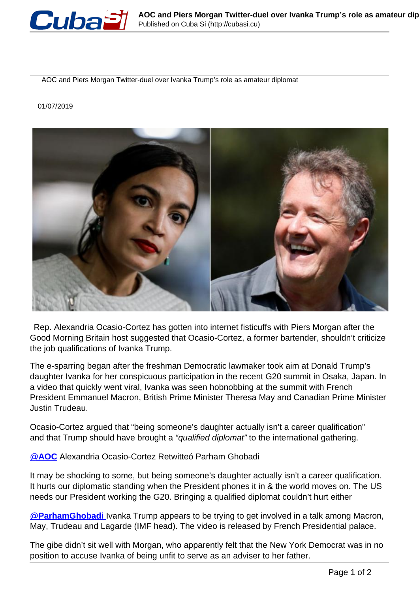

AOC and Piers Morgan Twitter-duel over Ivanka Trump's role as amateur diplomat

## 01/07/2019



 Rep. Alexandria Ocasio-Cortez has gotten into internet fisticuffs with Piers Morgan after the Good Morning Britain host suggested that Ocasio-Cortez, a former bartender, shouldn't criticize the job qualifications of Ivanka Trump.

The e-sparring began after the freshman Democratic lawmaker took aim at Donald Trump's daughter Ivanka for her conspicuous participation in the recent G20 summit in Osaka, Japan. In a video that quickly went viral, Ivanka was seen hobnobbing at the summit with French President Emmanuel Macron, British Prime Minister Theresa May and Canadian Prime Minister Justin Trudeau.

Ocasio-Cortez argued that "being someone's daughter actually isn't a career qualification" and that Trump should have brought a "qualified diplomat" to the international gathering.

[@](https://twitter.com/AOC)**[AOC](https://twitter.com/AOC)** Alexandria Ocasio-Cortez Retwitteó Parham Ghobadi

It may be shocking to some, but being someone's daughter actually isn't a career qualification. It hurts our diplomatic standing when the President phones it in & the world moves on. The US needs our President working the G20. Bringing a qualified diplomat couldn't hurt either

@**ParhamGhobadi** Ivanka Trump appears to be trying to get involved in a talk among Macron, May, Trudeau and Lagarde (IMF head). The video is released by French Presidential palace.

The gibe didn't sit well with Morgan, who apparently felt that the New York Democrat was in no position to accuse Ivanka of being unfit to serve as an adviser to her father.